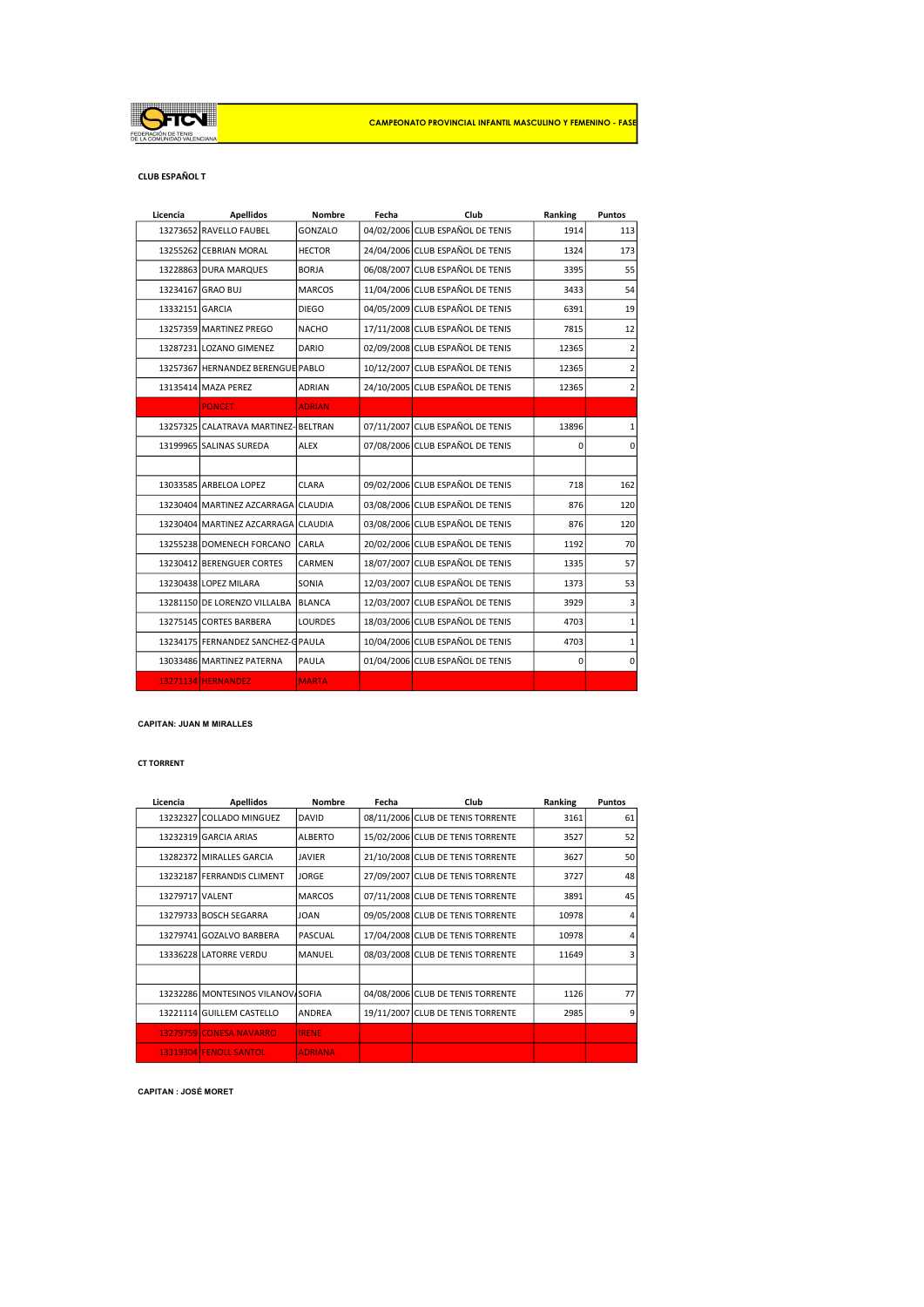

#### CLUB ESPAÑOL T

| Licencia        | <b>Apellidos</b>                     | Nombre         | Fecha | Club                             | Ranking | Puntos                  |
|-----------------|--------------------------------------|----------------|-------|----------------------------------|---------|-------------------------|
|                 | 13273652 RAVELLO FAUBEL              | GONZALO        |       | 04/02/2006 CLUB ESPAÑOL DE TENIS | 1914    | 113                     |
|                 | 13255262 CEBRIAN MORAL               | <b>HECTOR</b>  |       | 24/04/2006 CLUB ESPAÑOL DE TENIS | 1324    | 173                     |
|                 | 13228863 DURA MARQUES                | <b>BORJA</b>   |       | 06/08/2007 CLUB ESPAÑOL DE TENIS | 3395    | 55                      |
|                 | 13234167 GRAO BUJ                    | <b>MARCOS</b>  |       | 11/04/2006 CLUB ESPAÑOL DE TENIS | 3433    | 54                      |
| 13332151 GARCIA |                                      | <b>DIEGO</b>   |       | 04/05/2009 CLUB ESPAÑOL DE TENIS | 6391    | 19                      |
|                 | 13257359 MARTINEZ PREGO              | <b>NACHO</b>   |       | 17/11/2008 CLUB ESPAÑOL DE TENIS | 7815    | 12                      |
|                 | 13287231 LOZANO GIMENEZ              | <b>DARIO</b>   |       | 02/09/2008 CLUB ESPAÑOL DE TENIS | 12365   | 2                       |
| 13257367        | HERNANDEZ BERENGUE PABLO             |                |       | 10/12/2007 CLUB ESPAÑOL DE TENIS | 12365   | $\overline{\mathbf{c}}$ |
|                 | 13135414 MAZA PEREZ                  | <b>ADRIAN</b>  |       | 24/10/2005 CLUB ESPAÑOL DE TENIS | 12365   | $\overline{2}$          |
|                 | <b>PONCET</b>                        | <b>ADRIAN</b>  |       |                                  |         |                         |
|                 | 13257325 CALATRAVA MARTINEZ- BELTRAN |                |       | 07/11/2007 CLUB ESPAÑOL DE TENIS | 13896   | 1                       |
|                 | 13199965 SALINAS SUREDA              | <b>ALEX</b>    |       | 07/08/2006 CLUB ESPAÑOL DE TENIS | 0       | $\mathbf 0$             |
|                 |                                      |                |       |                                  |         |                         |
|                 | 13033585 ARBELOA LOPEZ               | CLARA          |       | 09/02/2006 CLUB ESPAÑOL DE TENIS | 718     | 162                     |
|                 | 13230404 MARTINEZ AZCARRAGA CLAUDIA  |                |       | 03/08/2006 CLUB ESPAÑOL DE TENIS | 876     | 120                     |
|                 | 13230404 MARTINEZ AZCARRAGA CLAUDIA  |                |       | 03/08/2006 CLUB ESPAÑOL DE TENIS | 876     | 120                     |
|                 | 13255238 DOMENECH FORCANO            | CARLA          |       | 20/02/2006 CLUB ESPAÑOL DE TENIS | 1192    | 70                      |
|                 | 13230412 BERENGUER CORTES            | <b>CARMEN</b>  |       | 18/07/2007 CLUB ESPAÑOL DE TENIS | 1335    | 57                      |
|                 | 13230438 LOPEZ MILARA                | SONIA          |       | 12/03/2007 CLUB ESPAÑOL DE TENIS | 1373    | 53                      |
|                 | 13281150 DE LORENZO VILLALBA         | <b>BLANCA</b>  |       | 12/03/2007 CLUB ESPAÑOL DE TENIS | 3929    | 3                       |
|                 | 13275145 CORTES BARBERA              | <b>LOURDES</b> |       | 18/03/2006 CLUB ESPAÑOL DE TENIS | 4703    | $\mathbf 1$             |
|                 | 13234175 FERNANDEZ SANCHEZ-G PAULA   |                |       | 10/04/2006 CLUB ESPAÑOL DE TENIS | 4703    | $\mathbf{1}$            |
|                 | 13033486 MARTINEZ PATERNA            | PAULA          |       | 01/04/2006 CLUB ESPAÑOL DE TENIS | 0       | $\mathbf 0$             |
|                 | 13271134 HERNANDEZ                   | <b>MARTA</b>   |       |                                  |         |                         |

## CAPITAN: JUAN M MIRALLES

#### CT TORRENT

| Licencia        | <b>Apellidos</b>                   | <b>Nombre</b>  | Fecha | Club                              | Ranking | Puntos |
|-----------------|------------------------------------|----------------|-------|-----------------------------------|---------|--------|
|                 | 13232327 COLLADO MINGUEZ           | <b>DAVID</b>   |       | 08/11/2006 CLUB DE TENIS TORRENTE | 3161    | 61     |
|                 | 13232319 GARCIA ARIAS              | <b>ALBERTO</b> |       | 15/02/2006 CLUB DE TENIS TORRENTE | 3527    | 52     |
|                 | 13282372 MIRALLES GARCIA           | <b>JAVIER</b>  |       | 21/10/2008 CLUB DE TENIS TORRENTE | 3627    | 50     |
|                 | 13232187 FERRANDIS CLIMENT         | <b>JORGE</b>   |       | 27/09/2007 CLUB DE TENIS TORRENTE | 3727    | 48     |
| 13279717 VALENT |                                    | <b>MARCOS</b>  |       | 07/11/2008 CLUB DE TENIS TORRENTE | 3891    | 45     |
|                 | 13279733 BOSCH SEGARRA             | <b>JOAN</b>    |       | 09/05/2008 CLUB DE TENIS TORRENTE | 10978   |        |
|                 | 13279741 GOZALVO BARBERA           | PASCUAL        |       | 17/04/2008 CLUB DE TENIS TORRENTE | 10978   |        |
|                 | 13336228 LATORRE VERDU             | MANUEL         |       | 08/03/2008 CLUB DE TENIS TORRENTE | 11649   |        |
|                 |                                    |                |       |                                   |         |        |
|                 | 13232286 MONTESINOS VILANOVI SOFIA |                |       | 04/08/2006 CLUB DE TENIS TORRENTE | 1126    | 77     |
|                 | 13221114 GUILLEM CASTELLO          | ANDREA         |       | 19/11/2007 CLUB DE TENIS TORRENTE | 2985    | 9      |
|                 | 13279759 CONESA NAVARRO            | <b>IRENE</b>   |       |                                   |         |        |
|                 | 13319304 FENOLL SANTOL             | <b>ADRIANA</b> |       |                                   |         |        |

#### CAPITAN : JOSÉ MORET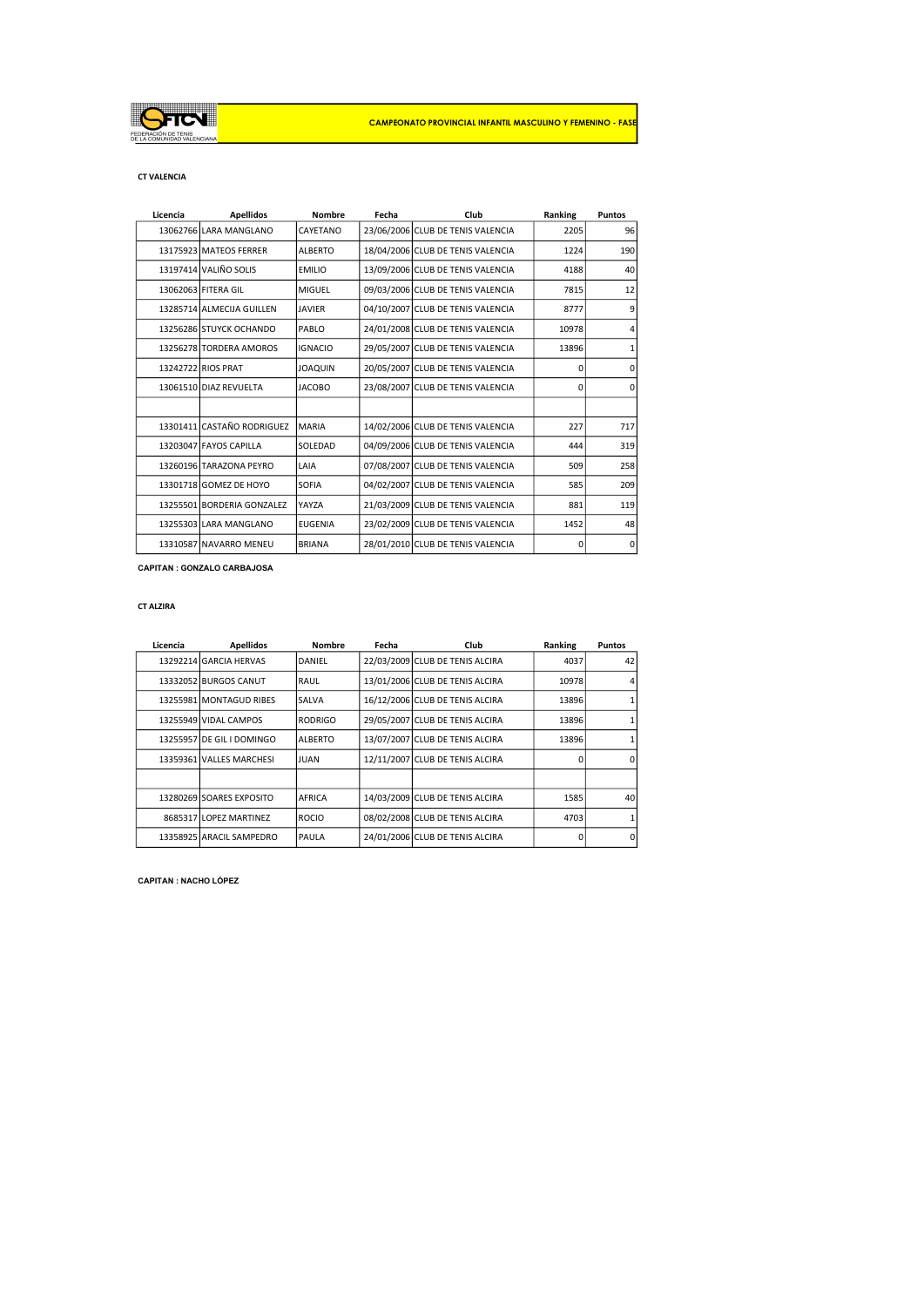

## CT VALENCIA

| Licencia | <b>Apellidos</b>           | <b>Nombre</b>  | Fecha | Club                              | Ranking  | <b>Puntos</b> |
|----------|----------------------------|----------------|-------|-----------------------------------|----------|---------------|
|          | 13062766 LARA MANGLANO     | CAYETANO       |       | 23/06/2006 CLUB DE TENIS VALENCIA | 2205     | 96            |
|          | 13175923 MATEOS FERRER     | <b>ALBERTO</b> |       | 18/04/2006 CLUB DE TENIS VALENCIA | 1224     | 190           |
|          | 13197414 VALIÑO SOLIS      | <b>EMILIO</b>  |       | 13/09/2006 CLUB DE TENIS VALENCIA | 4188     | 40            |
|          | 13062063 FITERA GIL        | <b>MIGUEL</b>  |       | 09/03/2006 CLUB DE TENIS VALENCIA | 7815     | 12            |
|          | 13285714 ALMECIJA GUILLEN  | <b>JAVIER</b>  |       | 04/10/2007 CLUB DE TENIS VALENCIA | 8777     | 9             |
|          | 13256286 STUYCK OCHANDO    | PABLO          |       | 24/01/2008 CLUB DE TENIS VALENCIA | 10978    | 4             |
|          | 13256278 TORDERA AMOROS    | <b>IGNACIO</b> |       | 29/05/2007 CLUB DE TENIS VALENCIA | 13896    | $\mathbf{1}$  |
|          | 13242722 RIOS PRAT         | <b>JOAQUIN</b> |       | 20/05/2007 CLUB DE TENIS VALENCIA | $\Omega$ | $\mathbf 0$   |
|          | 13061510 DIAZ REVUELTA     | <b>JACOBO</b>  |       | 23/08/2007 CLUB DE TENIS VALENCIA | 0        | $\mathbf 0$   |
|          |                            |                |       |                                   |          |               |
|          | 13301411 CASTAÑO RODRIGUEZ | <b>MARIA</b>   |       | 14/02/2006 CLUB DE TENIS VALENCIA | 227      | 717           |
|          | 13203047 FAYOS CAPILLA     | SOLEDAD        |       | 04/09/2006 CLUB DE TENIS VALENCIA | 444      | 319           |
|          | 13260196 TARAZONA PEYRO    | LAIA           |       | 07/08/2007 CLUB DE TENIS VALENCIA | 509      | 258           |
|          | 13301718 GOMEZ DE HOYO     | <b>SOFIA</b>   |       | 04/02/2007 CLUB DE TENIS VALENCIA | 585      | 209           |
|          | 13255501 BORDERIA GONZALEZ | <b>YAYZA</b>   |       | 21/03/2009 CLUB DE TENIS VALENCIA | 881      | 119           |
|          | 13255303 LARA MANGLANO     | <b>EUGENIA</b> |       | 23/02/2009 CLUB DE TENIS VALENCIA | 1452     | 48            |
|          | 13310587 NAVARRO MENEU     | <b>BRIANA</b>  |       | 28/01/2010 CLUB DE TENIS VALENCIA | 0        | 0             |

CAPITAN : GONZALO CARBAJOSA

# CT ALZIRA

| Licencia | <b>Apellidos</b>          | <b>Nombre</b>  | Fecha | Club                            | Ranking | <b>Puntos</b> |
|----------|---------------------------|----------------|-------|---------------------------------|---------|---------------|
|          | 13292214 GARCIA HERVAS    | DANIEL         |       | 22/03/2009 CLUB DE TENIS ALCIRA | 4037    | 42            |
|          | 13332052 BURGOS CANUT     | RAUL           |       | 13/01/2006 CLUB DE TENIS ALCIRA | 10978   |               |
|          | 13255981 MONTAGUD RIBES   | <b>SALVA</b>   |       | 16/12/2006 CLUB DE TENIS ALCIRA | 13896   |               |
|          | 13255949 VIDAL CAMPOS     | RODRIGO        |       | 29/05/2007 CLUB DE TENIS ALCIRA | 13896   |               |
|          | 13255957 DE GIL I DOMINGO | <b>ALBERTO</b> |       | 13/07/2007 CLUB DE TENIS ALCIRA | 13896   |               |
|          | 13359361 VALLES MARCHESI  | JUAN           |       | 12/11/2007 CLUB DE TENIS ALCIRA | O       | $\Omega$      |
|          |                           |                |       |                                 |         |               |
|          | 13280269 SOARES EXPOSITO  | AFRICA         |       | 14/03/2009 CLUB DE TENIS ALCIRA | 1585    | 40            |
|          | 8685317 LOPEZ MARTINEZ    | <b>ROCIO</b>   |       | 08/02/2008 CLUB DE TENIS ALCIRA | 4703    |               |
|          | 13358925 ARACIL SAMPEDRO  | <b>PAULA</b>   |       | 24/01/2006 CLUB DE TENIS ALCIRA | O       | $\Omega$      |

CAPITAN : NACHO LÓPEZ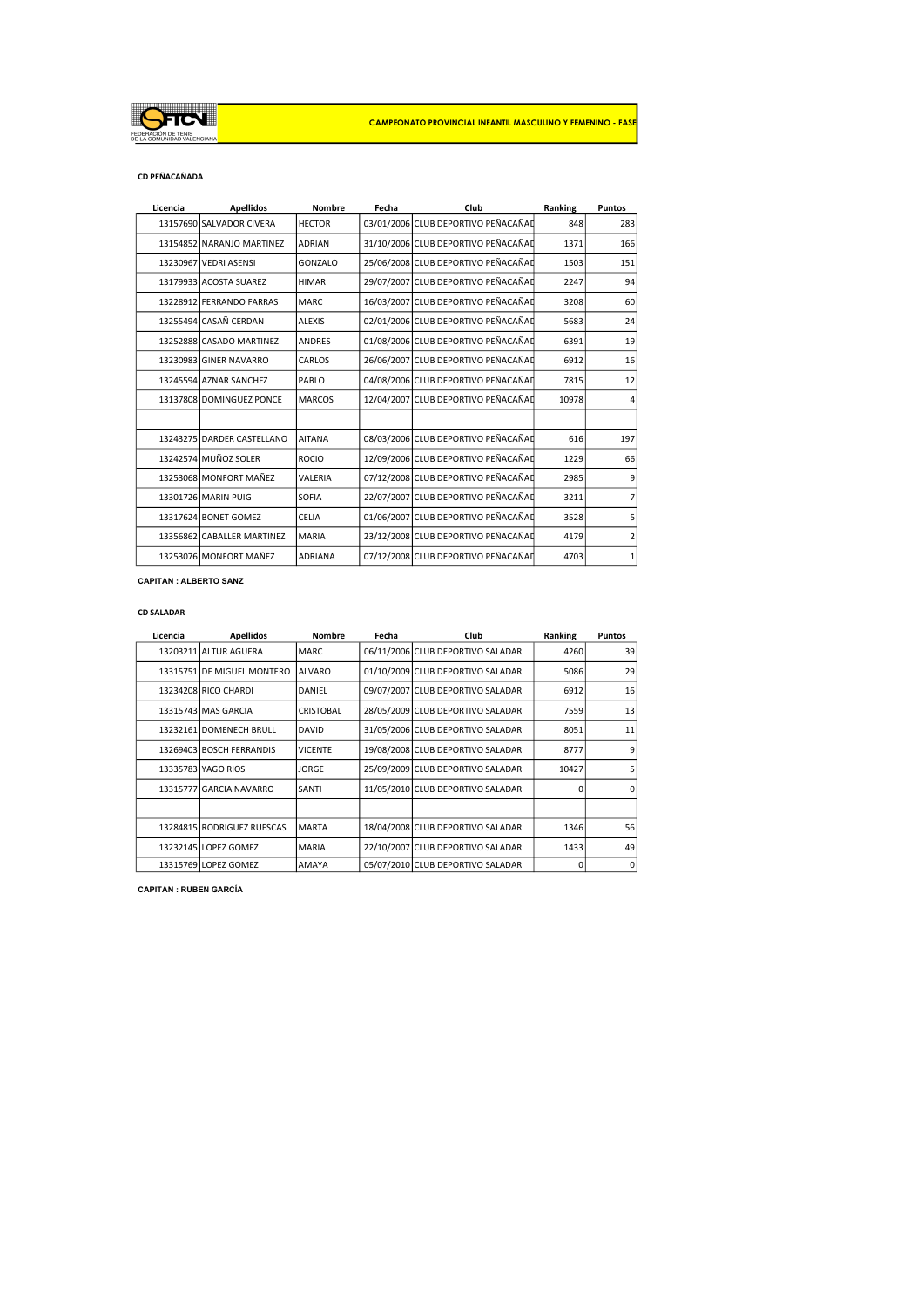

#### CD PEÑACAÑADA

| Licencia | <b>Apellidos</b>           | <b>Nombre</b>  | Fecha | Club                                | Ranking | Puntos |
|----------|----------------------------|----------------|-------|-------------------------------------|---------|--------|
|          | 13157690 SALVADOR CIVERA   | <b>HECTOR</b>  |       | 03/01/2006 CLUB DEPORTIVO PEÑACAÑAD | 848     | 283    |
|          | 13154852 NARANJO MARTINEZ  | <b>ADRIAN</b>  |       | 31/10/2006 CLUB DEPORTIVO PEÑACAÑAD | 1371    | 166    |
|          | 13230967 VEDRI ASENSI      | GONZALO        |       | 25/06/2008 CLUB DEPORTIVO PEÑACAÑAD | 1503    | 151    |
|          | 13179933 ACOSTA SUAREZ     | <b>HIMAR</b>   |       | 29/07/2007 CLUB DEPORTIVO PEÑACAÑAD | 2247    | 94     |
|          | 13228912 FERRANDO FARRAS   | MARC.          |       | 16/03/2007 CLUB DEPORTIVO PEÑACAÑAD | 3208    | 60     |
|          | 13255494 CASAÑ CERDAN      | <b>ALEXIS</b>  |       | 02/01/2006 CLUB DEPORTIVO PEÑACAÑAD | 5683    | 24     |
|          | 13252888 CASADO MARTINEZ   | <b>ANDRES</b>  |       | 01/08/2006 CLUB DEPORTIVO PEÑACAÑAD | 6391    | 19     |
|          | 13230983 GINER NAVARRO     | CARLOS         |       | 26/06/2007 CLUB DEPORTIVO PEÑACAÑAD | 6912    | 16     |
|          | 13245594 AZNAR SANCHEZ     | PABLO          |       | 04/08/2006 CLUB DEPORTIVO PEÑACAÑAD | 7815    | 12     |
|          | 13137808 DOMINGUEZ PONCE   | <b>MARCOS</b>  |       | 12/04/2007 CLUB DEPORTIVO PEÑACAÑAD | 10978   |        |
|          |                            |                |       |                                     |         |        |
|          | 13243275 DARDER CASTELLANO | <b>AITANA</b>  |       | 08/03/2006 CLUB DEPORTIVO PEÑACAÑAD | 616     | 197    |
|          | 13242574 MUÑOZ SOLER       | <b>ROCIO</b>   |       | 12/09/2006 CLUB DEPORTIVO PEÑACAÑAD | 1229    | 66     |
|          | 13253068 MONFORT MAÑEZ     | VALERIA        |       | 07/12/2008 CLUB DEPORTIVO PEÑACAÑAD | 2985    | 9      |
|          | 13301726 MARIN PUIG        | SOFIA          |       | 22/07/2007 CLUB DEPORTIVO PEÑACAÑAD | 3211    |        |
|          | 13317624 BONET GOMEZ       | <b>CELIA</b>   |       | 01/06/2007 CLUB DEPORTIVO PEÑACAÑAD | 3528    | 5      |
|          | 13356862 CABALLER MARTINEZ | <b>MARIA</b>   |       | 23/12/2008 CLUB DEPORTIVO PEÑACAÑAD | 4179    | 2      |
|          | 13253076 MONFORT MAÑEZ     | <b>ADRIANA</b> |       | 07/12/2008 CLUB DEPORTIVO PEÑACAÑAD | 4703    | 1      |

CAPITAN : ALBERTO SANZ

### CD SALADAR

| Licencia | <b>Apellidos</b>           | Nombre           | Fecha | Club                              | Ranking        | <b>Puntos</b> |
|----------|----------------------------|------------------|-------|-----------------------------------|----------------|---------------|
|          | 13203211 ALTUR AGUERA      | MARC.            |       | 06/11/2006 CLUB DEPORTIVO SALADAR | 4260           | 39            |
|          | 13315751 DE MIGUEL MONTERO | <b>ALVARO</b>    |       | 01/10/2009 CLUB DEPORTIVO SALADAR | 5086           | 29            |
|          | 13234208 RICO CHARDI       | DANIEL           |       | 09/07/2007 CLUB DEPORTIVO SALADAR | 6912           | 16            |
|          | 13315743 MAS GARCIA        | <b>CRISTOBAL</b> |       | 28/05/2009 CLUB DEPORTIVO SALADAR | 7559           | 13            |
|          | 13232161 DOMENECH BRULL    | <b>DAVID</b>     |       | 31/05/2006 CLUB DEPORTIVO SALADAR | 8051           | 11            |
|          | 13269403 BOSCH FERRANDIS   | <b>VICENTE</b>   |       | 19/08/2008 CLUB DEPORTIVO SALADAR | 8777           | 9             |
|          | 13335783 YAGO RIOS         | <b>JORGE</b>     |       | 25/09/2009 CLUB DEPORTIVO SALADAR | 10427          |               |
|          | 13315777 GARCIA NAVARRO    | SANTI            |       | 11/05/2010 CLUB DEPORTIVO SALADAR | $\Omega$       | n             |
|          |                            |                  |       |                                   |                |               |
|          | 13284815 RODRIGUEZ RUESCAS | <b>MARTA</b>     |       | 18/04/2008 CLUB DEPORTIVO SALADAR | 1346           | 56            |
|          | 13232145 LOPEZ GOMEZ       | <b>MARIA</b>     |       | 22/10/2007 CLUB DEPORTIVO SALADAR | 1433           | 49            |
|          | 13315769 LOPEZ GOMEZ       | AMAYA            |       | 05/07/2010 CLUB DEPORTIVO SALADAR | $\overline{0}$ | 0             |

CAPITAN : RUBEN GARCÍA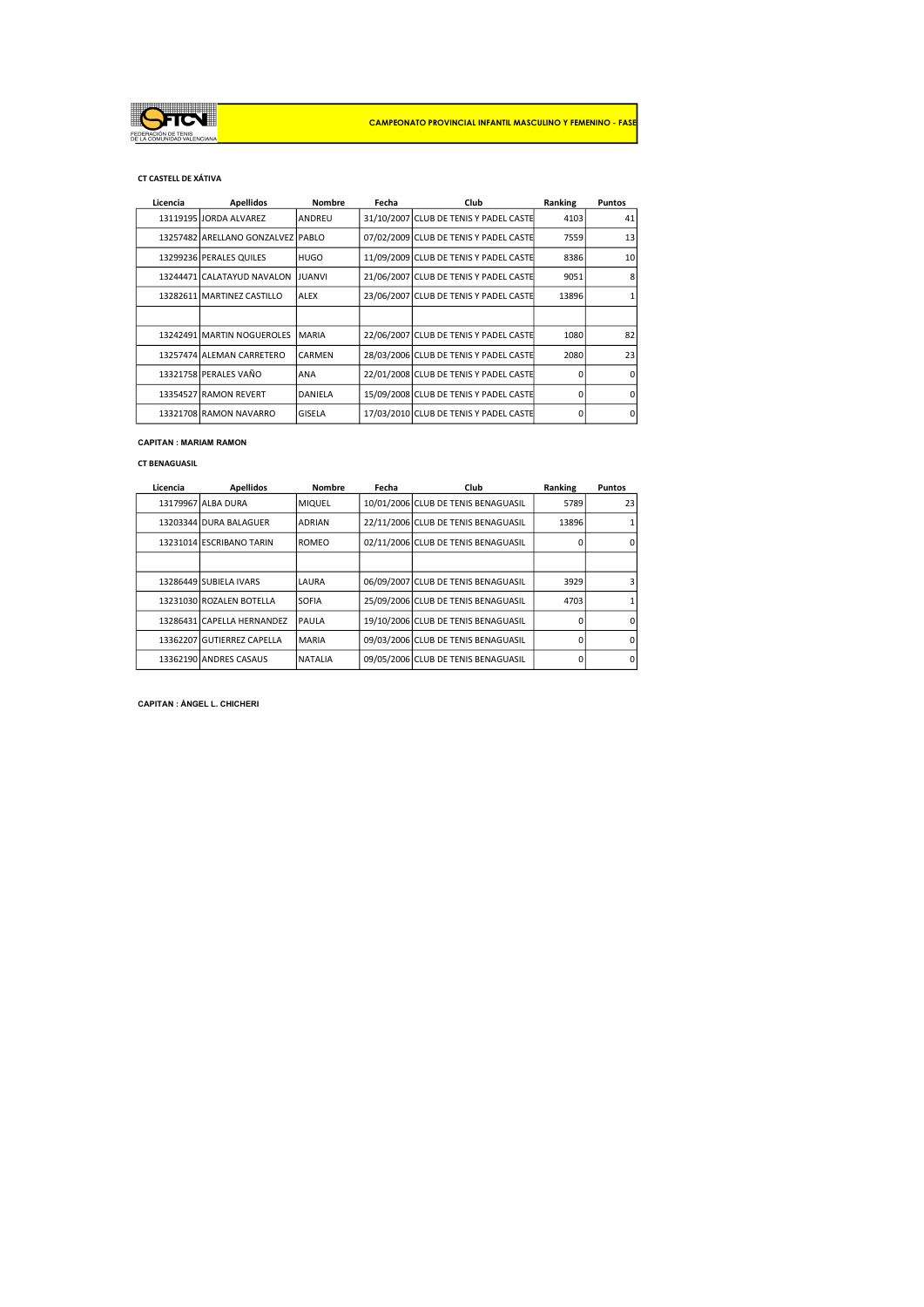

## CT CASTELL DE XÁTIVA

| Licencia | <b>Apellidos</b>                  | Nombre        | Fecha | Club                                   | Ranking | <b>Puntos</b> |
|----------|-----------------------------------|---------------|-------|----------------------------------------|---------|---------------|
|          | 13119195 JORDA ALVAREZ            | ANDREU        |       | 31/10/2007 CLUB DE TENIS Y PADEL CASTE | 4103    | 41            |
|          | 13257482 ARELLANO GONZALVEZ PABLO |               |       | 07/02/2009 CLUB DE TENIS Y PADEL CASTE | 7559    | 13            |
|          | 13299236 PERALES QUILES           | <b>HUGO</b>   |       | 11/09/2009 CLUB DE TENIS Y PADEL CASTE | 8386    | 10            |
|          | 13244471 CALATAYUD NAVALON        | <b>JUANVI</b> |       | 21/06/2007 CLUB DE TENIS Y PADEL CASTE | 9051    |               |
|          | 13282611 MARTINEZ CASTILLO        | ALEX          |       | 23/06/2007 CLUB DE TENIS Y PADEL CASTE | 13896   |               |
|          |                                   |               |       |                                        |         |               |
|          | 13242491 MARTIN NOGUEROLES        | MARIA         |       | 22/06/2007 CLUB DE TENIS Y PADEL CASTE | 1080    | 82            |
|          | 13257474 ALEMAN CARRETERO         | <b>CARMEN</b> |       | 28/03/2006 CLUB DE TENIS Y PADEL CASTE | 2080    | 23            |
|          | 13321758 PERALES VAÑO             | ANA           |       | 22/01/2008 CLUB DE TENIS Y PADEL CASTE | n       |               |
|          | 13354527 RAMON REVERT             | DANIELA       |       | 15/09/2008 CLUB DE TENIS Y PADEL CASTE | 0       |               |
|          | 13321708 RAMON NAVARRO            | GISELA        |       | 17/03/2010 CLUB DE TENIS Y PADEL CASTE | 0       | n             |

# CAPITAN : MARIAM RAMON

#### CT BENAGUASIL

| Licencia | <b>Apellidos</b>           | <b>Nombre</b> | Fecha | Club                                | Ranking      | <b>Puntos</b> |
|----------|----------------------------|---------------|-------|-------------------------------------|--------------|---------------|
|          | 13179967 ALBA DURA         | <b>MIQUEL</b> |       | 10/01/2006 CLUB DE TENIS BENAGUASIL | 5789         | 23            |
|          | 13203344 DURA BALAGUER     | <b>ADRIAN</b> |       | 22/11/2006 CLUB DE TENIS BENAGUASIL | 13896        |               |
|          | 13231014 ESCRIBANO TARIN   | <b>ROMEO</b>  |       | 02/11/2006 CLUB DE TENIS BENAGUASIL | Ω            |               |
|          |                            |               |       |                                     |              |               |
|          | 13286449 SUBIELA IVARS     | LAURA         |       | 06/09/2007 CLUB DE TENIS BENAGUASIL | 3929         |               |
|          | 13231030 ROZALEN BOTELLA   | <b>SOFIA</b>  |       | 25/09/2006 CLUB DE TENIS BENAGUASIL | 4703         |               |
|          | 13286431 CAPELLA HERNANDEZ | PAULA         |       | 19/10/2006 CLUB DE TENIS BENAGUASIL | <sup>n</sup> |               |
|          | 13362207 GUTIERREZ CAPELLA | <b>MARIA</b>  |       | 09/03/2006 CLUB DE TENIS BENAGUASIL | $\Omega$     |               |
|          | 13362190 ANDRES CASAUS     | NATALIA       |       | 09/05/2006 CLUB DE TENIS BENAGUASIL | 0            | n             |

CAPITAN : ÁNGEL L. CHICHERI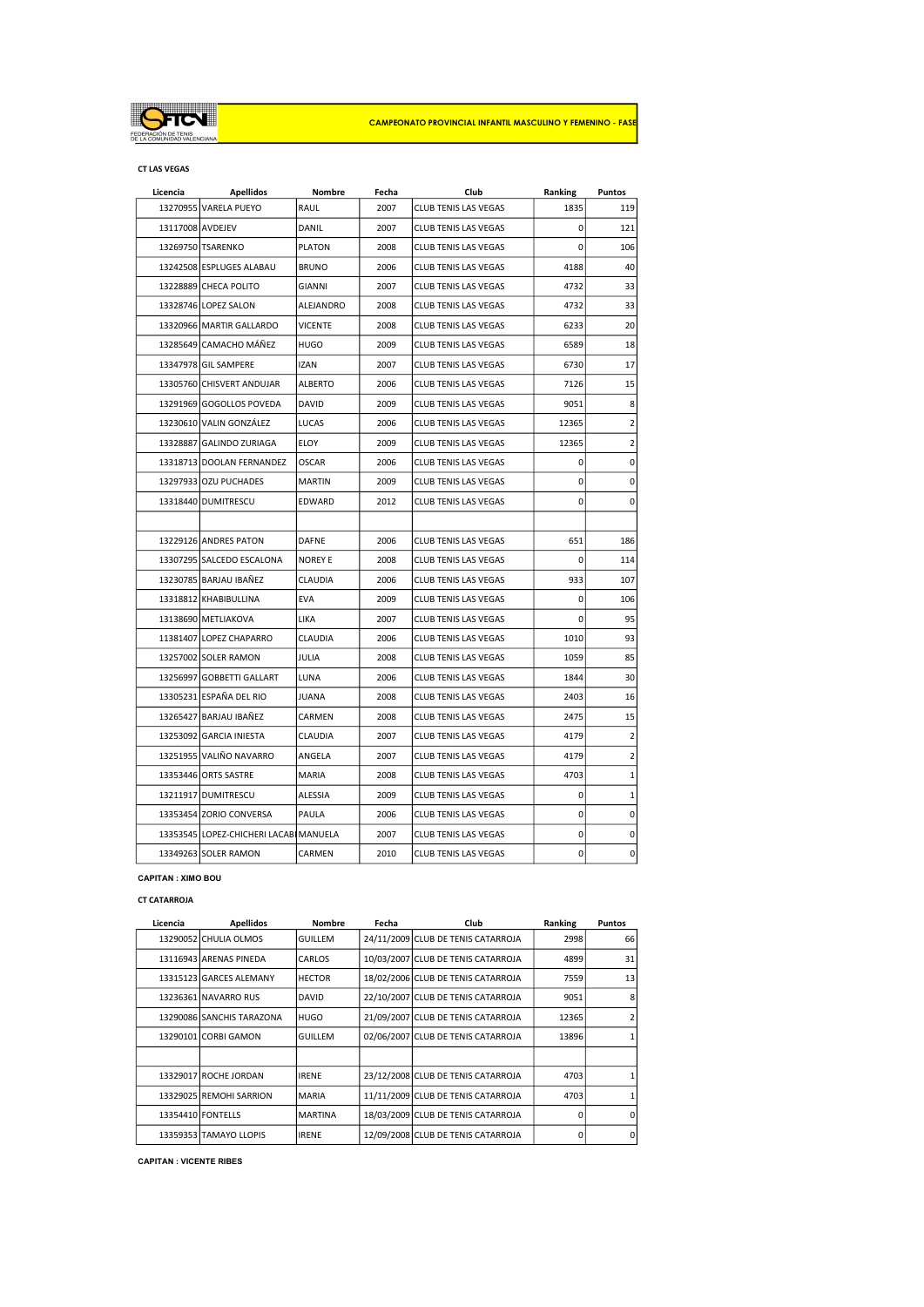

#### CT LAS VEGAS

| Licencia         | <b>Apellidos</b>                       | Nombre         | Fecha | Club                        | Ranking     | Puntos       |
|------------------|----------------------------------------|----------------|-------|-----------------------------|-------------|--------------|
|                  | 13270955 VARELA PUEYO                  | RAUL           | 2007  | CLUB TENIS LAS VEGAS        | 1835        | 119          |
| 13117008 AVDEJEV |                                        | DANIL          | 2007  | <b>CLUB TENIS LAS VEGAS</b> | 0           | 121          |
|                  | 13269750 TSARENKO                      | <b>PLATON</b>  | 2008  | CLUB TENIS LAS VEGAS        | $\Omega$    | 106          |
|                  | 13242508 ESPLUGES ALABAU               | <b>BRUNO</b>   | 2006  | <b>CLUB TENIS LAS VEGAS</b> | 4188        | 40           |
|                  | 13228889 CHECA POLITO                  | <b>GIANNI</b>  | 2007  | <b>CLUB TENIS LAS VEGAS</b> | 4732        | 33           |
|                  | 13328746 LOPEZ SALON                   | ALEJANDRO      | 2008  | <b>CLUB TENIS LAS VEGAS</b> | 4732        | 33           |
|                  | 13320966 MARTIR GALLARDO               | <b>VICENTE</b> | 2008  | CLUB TENIS LAS VEGAS        | 6233        | 20           |
|                  | 13285649 CAMACHO MÁÑEZ                 | <b>HUGO</b>    | 2009  | CLUB TENIS LAS VEGAS        | 6589        | 18           |
|                  | 13347978 GIL SAMPERE                   | <b>IZAN</b>    | 2007  | <b>CLUB TENIS LAS VEGAS</b> | 6730        | 17           |
|                  | 13305760 CHISVERT ANDUJAR              | <b>ALBERTO</b> | 2006  | <b>CLUB TENIS LAS VEGAS</b> | 7126        | 15           |
|                  | 13291969 GOGOLLOS POVEDA               | DAVID          | 2009  | CLUB TENIS LAS VEGAS        | 9051        | 8            |
|                  | 13230610 VALIN GONZÁLEZ                | LUCAS          | 2006  | CLUB TENIS LAS VEGAS        | 12365       | 2            |
|                  | 13328887 GALINDO ZURIAGA               | ELOY           | 2009  | <b>CLUB TENIS LAS VEGAS</b> | 12365       | 2            |
|                  | 13318713 DOOLAN FERNANDEZ              | <b>OSCAR</b>   | 2006  | CLUB TENIS LAS VEGAS        | 0           | 0            |
|                  | 13297933 OZU PUCHADES                  | <b>MARTIN</b>  | 2009  | CLUB TENIS LAS VEGAS        | 0           | 0            |
|                  | 13318440 DUMITRESCU                    | EDWARD         | 2012  | <b>CLUB TENIS LAS VEGAS</b> | $\Omega$    | 0            |
|                  |                                        |                |       |                             |             |              |
|                  | 13229126 ANDRES PATON                  | <b>DAFNE</b>   | 2006  | <b>CLUB TENIS LAS VEGAS</b> | 651         | 186          |
|                  | 13307295 SALCEDO ESCALONA              | <b>NOREY E</b> | 2008  | CLUB TENIS LAS VEGAS        | 0           | 114          |
|                  | 13230785 BARJAU IBAÑEZ                 | CLAUDIA        | 2006  | CLUB TENIS LAS VEGAS        | 933         | 107          |
|                  | 13318812 KHABIBULLINA                  | <b>EVA</b>     | 2009  | <b>CLUB TENIS LAS VEGAS</b> | 0           | 106          |
|                  | 13138690 METLIAKOVA                    | LIKA           | 2007  | <b>CLUB TENIS LAS VEGAS</b> | $\Omega$    | 95           |
|                  | 11381407 LOPEZ CHAPARRO                | CLAUDIA        | 2006  | <b>CLUB TENIS LAS VEGAS</b> | 1010        | 93           |
|                  | 13257002 SOLER RAMON                   | JULIA          | 2008  | <b>CLUB TENIS LAS VEGAS</b> | 1059        | 85           |
|                  | 13256997 GOBBETTI GALLART              | LUNA           | 2006  | CLUB TENIS LAS VEGAS        | 1844        | 30           |
|                  | 13305231 ESPAÑA DEL RIO                | JUANA          | 2008  | <b>CLUB TENIS LAS VEGAS</b> | 2403        | 16           |
|                  | 13265427 BARJAU IBAÑEZ                 | CARMEN         | 2008  | CLUB TENIS LAS VEGAS        | 2475        | 15           |
|                  | 13253092 GARCIA INIESTA                | CLAUDIA        | 2007  | <b>CLUB TENIS LAS VEGAS</b> | 4179        | 2            |
|                  | 13251955 VALIÑO NAVARRO                | ANGELA         | 2007  | <b>CLUB TENIS LAS VEGAS</b> | 4179        | 2            |
|                  | 133534461ORTS SASTRE                   | <b>MARIA</b>   | 2008  | <b>CLUB TENIS LAS VEGAS</b> | 4703        | $\mathbf{1}$ |
|                  | 13211917 DUMITRESCU                    | ALESSIA        | 2009  | <b>CLUB TENIS LAS VEGAS</b> | 0           | $\mathbf 1$  |
|                  | 13353454 ZORIO CONVERSA                | PAULA          | 2006  | CLUB TENIS LAS VEGAS        | $\mathbf 0$ | 0            |
|                  | 13353545 LOPEZ-CHICHERI LACABI MANUELA |                | 2007  | CLUB TENIS LAS VEGAS        | 0           | 0            |
|                  | 13349263 SOLER RAMON                   | CARMEN         | 2010  | CLUB TENIS LAS VEGAS        | $\mathbf 0$ | 0            |

## CAPITAN : XIMO BOU

# CT CATARROJA

| Licencia | <b>Apellidos</b>          | <b>Nombre</b>  | Fecha | Club                               | Ranking  | <b>Puntos</b> |
|----------|---------------------------|----------------|-------|------------------------------------|----------|---------------|
|          | 13290052 CHULIA OLMOS     | <b>GUILLEM</b> |       | 24/11/2009 CLUB DE TENIS CATARROJA | 2998     | 66            |
|          | 13116943 ARENAS PINEDA    | CARLOS         |       | 10/03/2007 CLUB DE TENIS CATARROJA | 4899     | 31            |
|          | 13315123 GARCES ALEMANY   | <b>HECTOR</b>  |       | 18/02/2006 CLUB DE TENIS CATARROJA | 7559     | 13            |
|          | 13236361 NAVARRO RUS      | DAVID          |       | 22/10/2007 CLUB DE TENIS CATARROJA | 9051     | 8             |
|          | 13290086 SANCHIS TARAZONA | HUGO           |       | 21/09/2007 CLUB DE TENIS CATARROJA | 12365    |               |
|          | 13290101 CORBI GAMON      | <b>GUILLEM</b> |       | 02/06/2007 CLUB DE TENIS CATARROJA | 13896    |               |
|          |                           |                |       |                                    |          |               |
|          | 13329017 ROCHE JORDAN     | <b>IRENE</b>   |       | 23/12/2008 CLUB DE TENIS CATARROJA | 4703     |               |
|          | 13329025 REMOHI SARRION   | <b>MARIA</b>   |       | 11/11/2009 CLUB DE TENIS CATARROJA | 4703     |               |
|          | 13354410 FONTELLS         | <b>MARTINA</b> |       | 18/03/2009 CLUB DE TENIS CATARROJA | O        | <sup>n</sup>  |
|          | 13359353 TAMAYO LLOPIS    | <b>IRENE</b>   |       | 12/09/2008 CLUB DE TENIS CATARROJA | $\Omega$ | $\Omega$      |

CAPITAN : VICENTE RIBES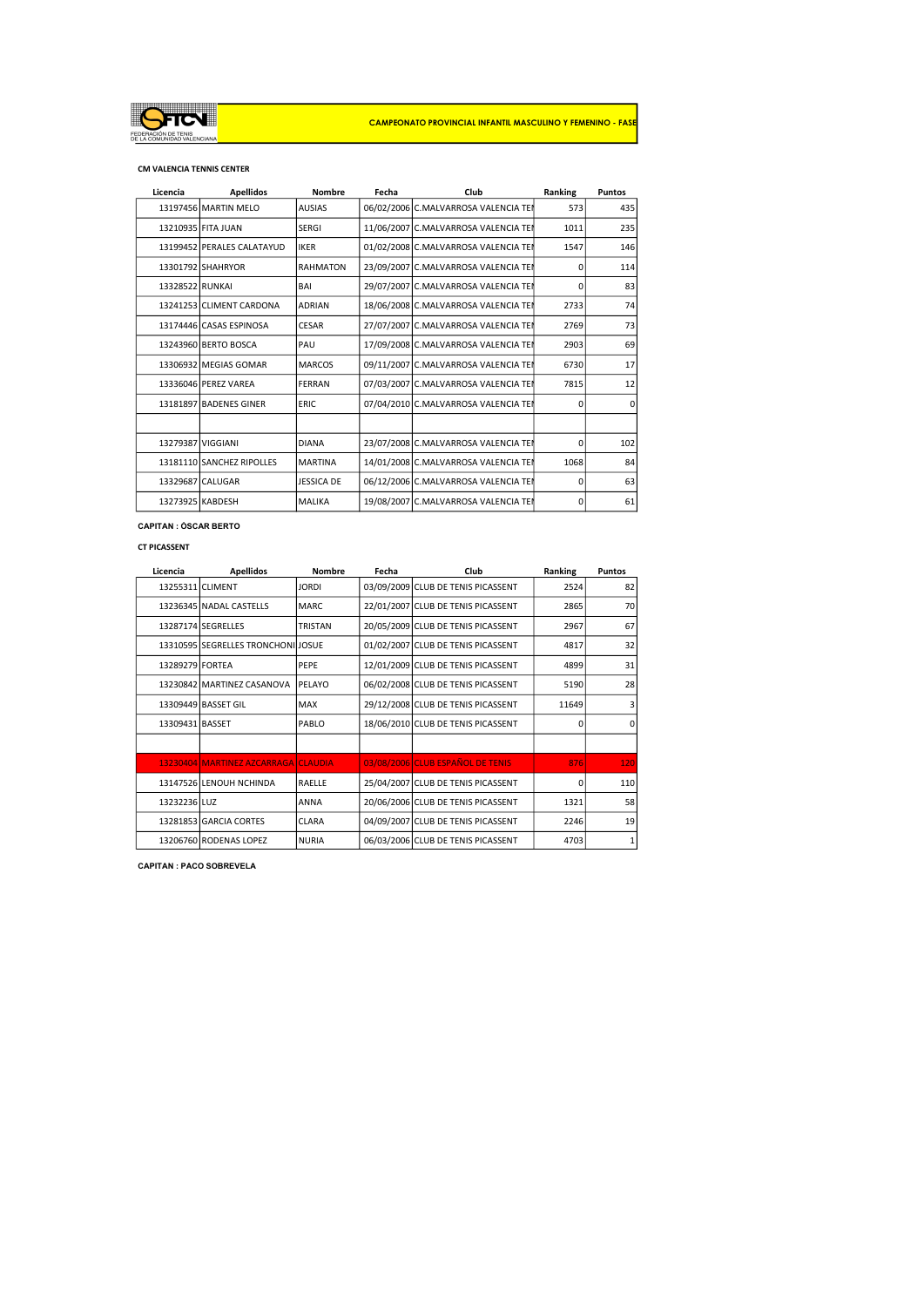

#### CM VALENCIA TENNIS CENTER

| Licencia          | <b>Apellidos</b>           | <b>Nombre</b>   | Fecha | Club                                 | Ranking  | <b>Puntos</b> |
|-------------------|----------------------------|-----------------|-------|--------------------------------------|----------|---------------|
|                   | 13197456 MARTIN MELO       | <b>AUSIAS</b>   |       | 06/02/2006 C.MALVARROSA VALENCIA TEI | 573      | 435           |
|                   | 13210935 FITA JUAN         | <b>SERGI</b>    |       | 11/06/2007 C.MALVARROSA VALENCIA TEI | 1011     | 235           |
|                   | 13199452 PERALES CALATAYUD | <b>IKER</b>     |       | 01/02/2008 C.MALVARROSA VALENCIA TEN | 1547     | 146           |
|                   | 13301792 SHAHRYOR          | <b>RAHMATON</b> |       | 23/09/2007 C.MALVARROSA VALENCIA TEN | $\Omega$ | 114           |
| 13328522 RUNKAI   |                            | BAI             |       | 29/07/2007 C.MALVARROSA VALENCIA TEI | $\Omega$ | 83            |
|                   | 13241253 CLIMENT CARDONA   | <b>ADRIAN</b>   |       | 18/06/2008 C.MALVARROSA VALENCIA TEN | 2733     | 74            |
|                   | 13174446 CASAS ESPINOSA    | <b>CESAR</b>    |       | 27/07/2007 C.MALVARROSA VALENCIA TEN | 2769     | 73            |
|                   | 13243960 BERTO BOSCA       | PAU             |       | 17/09/2008 C.MALVARROSA VALENCIA TEN | 2903     | 69            |
|                   | 13306932 MEGIAS GOMAR      | <b>MARCOS</b>   |       | 09/11/2007 C.MALVARROSA VALENCIA TEI | 6730     | 17            |
|                   | 13336046 PEREZ VAREA       | FERRAN          |       | 07/03/2007 C.MALVARROSA VALENCIA TEI | 7815     | 12            |
|                   | 13181897 BADENES GINER     | <b>ERIC</b>     |       | 07/04/2010 C.MALVARROSA VALENCIA TEN | $\Omega$ | $\Omega$      |
|                   |                            |                 |       |                                      |          |               |
| 13279387 VIGGIANI |                            | <b>DIANA</b>    |       | 23/07/2008 C.MALVARROSA VALENCIA TEN | $\Omega$ | 102           |
|                   | 13181110 SANCHEZ RIPOLLES  | <b>MARTINA</b>  |       | 14/01/2008 C.MALVARROSA VALENCIA TEI | 1068     | 84            |
|                   | 13329687 CALUGAR           | JESSICA DE      |       | 06/12/2006 C.MALVARROSA VALENCIA TEN | $\Omega$ | 63            |
| 13273925 KABDESH  |                            | <b>MALIKA</b>   |       | 19/08/2007 C.MALVARROSA VALENCIA TEI | $\Omega$ | 61            |

CAPITAN : ÓSCAR BERTO

#### CT PICASSENT

| Licencia         | <b>Apellidos</b>                    | <b>Nombre</b>  | Fecha | Club                               | Ranking  | <b>Puntos</b> |
|------------------|-------------------------------------|----------------|-------|------------------------------------|----------|---------------|
| 13255311 CLIMENT |                                     | <b>JORDI</b>   |       | 03/09/2009 CLUB DE TENIS PICASSENT | 2524     | 82            |
|                  | 13236345 NADAL CASTELLS             | MARC.          |       | 22/01/2007 CLUB DE TENIS PICASSENT | 2865     | 70            |
|                  | 13287174 SEGRELLES                  | <b>TRISTAN</b> |       | 20/05/2009 CLUB DE TENIS PICASSENT | 2967     | 67            |
|                  | 13310595 SEGRELLES TRONCHONILIOSUE  |                |       | 01/02/2007 CLUB DE TENIS PICASSENT | 4817     | 32            |
| 13289279 FORTEA  |                                     | PEPE           |       | 12/01/2009 CLUB DE TENIS PICASSENT | 4899     | 31            |
|                  | 13230842 MARTINEZ CASANOVA          | PELAYO         |       | 06/02/2008 CLUB DE TENIS PICASSENT | 5190     | 28            |
|                  | 13309449 BASSET GIL                 | MAX            |       | 29/12/2008 CLUB DE TENIS PICASSENT | 11649    |               |
| 13309431 BASSET  |                                     | PABLO          |       | 18/06/2010 CLUB DE TENIS PICASSENT | 0        | 0             |
|                  |                                     |                |       |                                    |          |               |
|                  | 13230404 MARTINEZ AZCARRAGA CLAUDIA |                |       | 03/08/2006 CLUB ESPAÑOL DE TENIS   | 876      | 120           |
|                  | 13147526 LENOUH NCHINDA             | RAELLE         |       | 25/04/2007 CLUB DE TENIS PICASSENT | $\Omega$ | 110           |
| 13232236 LUZ     |                                     | <b>ANNA</b>    |       | 20/06/2006 CLUB DE TENIS PICASSENT | 1321     | 58            |
|                  | 13281853 GARCIA CORTES              | <b>CLARA</b>   |       | 04/09/2007 CLUB DE TENIS PICASSENT | 2246     | 19            |
|                  | 13206760 RODENAS LOPEZ              | <b>NURIA</b>   |       | 06/03/2006 CLUB DE TENIS PICASSENT | 4703     | 1             |

CAPITAN : PACO SOBREVELA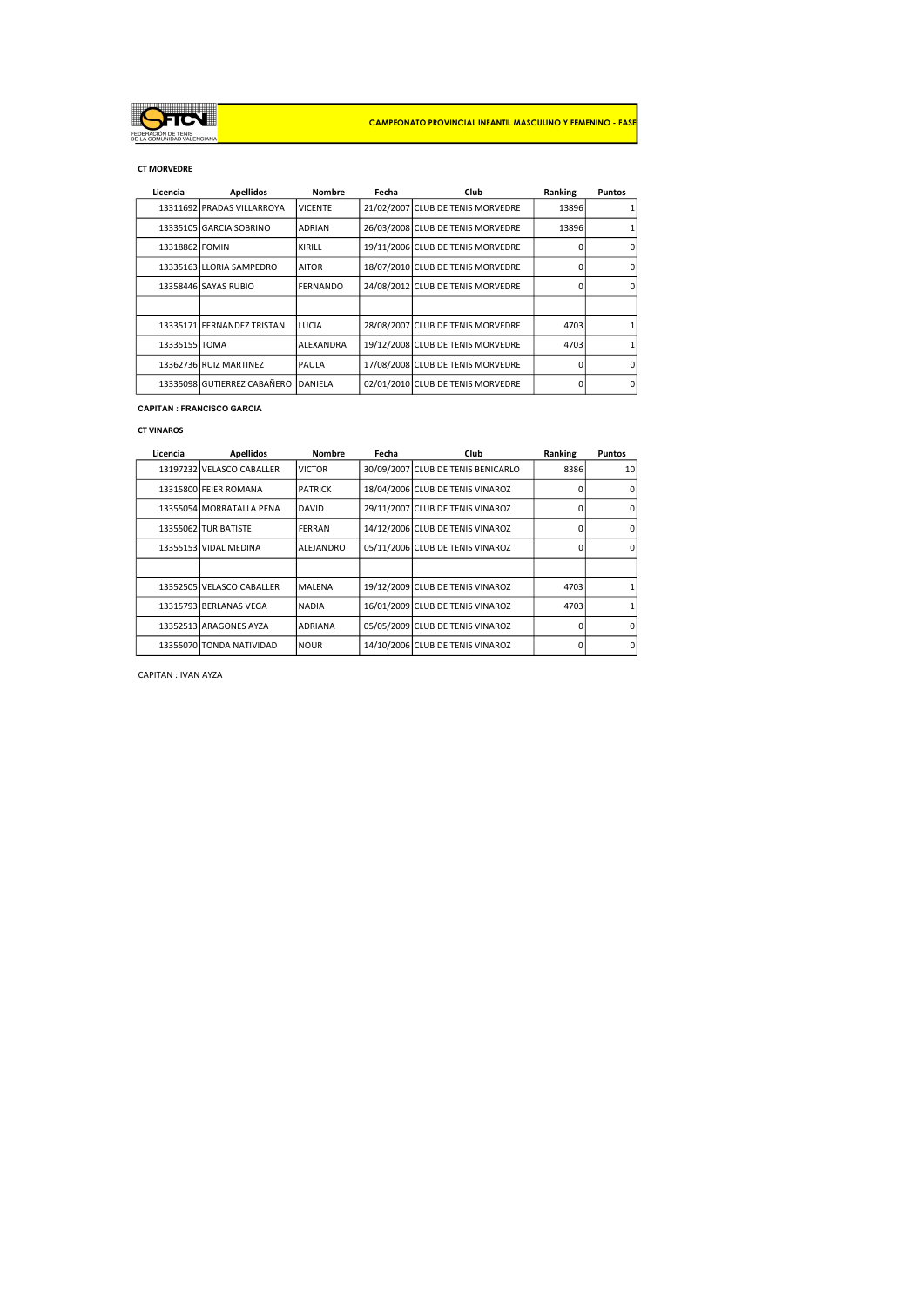

#### CT MORVEDRE

| Licencia       | <b>Apellidos</b>            | <b>Nombre</b>   | Fecha | Club                              | Ranking | <b>Puntos</b> |
|----------------|-----------------------------|-----------------|-------|-----------------------------------|---------|---------------|
|                | 13311692 PRADAS VILLARROYA  | <b>VICENTE</b>  |       | 21/02/2007 CLUB DE TENIS MORVEDRE | 13896   |               |
|                | 13335105 GARCIA SOBRINO     | <b>ADRIAN</b>   |       | 26/03/2008 CLUB DE TENIS MORVEDRE | 13896   |               |
| 13318862 FOMIN |                             | KIRILL          |       | 19/11/2006 CLUB DE TENIS MORVEDRE | n       |               |
|                | 13335163 LLORIA SAMPEDRO    | <b>AITOR</b>    |       | 18/07/2010 CLUB DE TENIS MORVEDRE |         |               |
|                | 13358446 SAYAS RUBIO        | <b>FERNANDO</b> |       | 24/08/2012 CLUB DE TENIS MORVEDRE | ŋ       |               |
|                |                             |                 |       |                                   |         |               |
|                | 13335171 FERNANDEZ TRISTAN  | LUCIA           |       | 28/08/2007 CLUB DE TENIS MORVEDRE | 4703    |               |
| 13335155 TOMA  |                             | ALEXANDRA       |       | 19/12/2008 CLUB DE TENIS MORVEDRE | 4703    |               |
|                | 13362736 RUIZ MARTINEZ      | PAULA           |       | 17/08/2008 CLUB DE TENIS MORVEDRE | O       |               |
|                | 13335098 GUTIERREZ CABAÑERO | DANIELA         |       | 02/01/2010 CLUB DE TENIS MORVEDRE | 0       | 0             |

#### CAPITAN : FRANCISCO GARCIA

#### CT VINAROS

| Licencia | <b>Apellidos</b>          | <b>Nombre</b>  | Fecha | Club                               | Ranking  | <b>Puntos</b> |
|----------|---------------------------|----------------|-------|------------------------------------|----------|---------------|
|          | 13197232 VELASCO CABALLER | <b>VICTOR</b>  |       | 30/09/2007 CLUB DE TENIS BENICARLO | 8386     | 10            |
|          | 13315800 FEIER ROMANA     | <b>PATRICK</b> |       | 18/04/2006 CLUB DE TENIS VINAROZ   | n        | n             |
|          | 13355054 MORRATALLA PENA  | <b>DAVID</b>   |       | 29/11/2007 CLUB DE TENIS VINAROZ   | O        | n             |
|          | 13355062 TUR BATISTE      | FERRAN         |       | 14/12/2006 CLUB DE TENIS VINAROZ   | O        | n             |
|          | 13355153 VIDAL MEDINA     | ALEJANDRO      |       | 05/11/2006 CLUB DE TENIS VINAROZ   | O        | n             |
|          |                           |                |       |                                    |          |               |
|          | 13352505 VELASCO CABALLER | MALENA         |       | 19/12/2009 CLUB DE TENIS VINAROZ   | 4703     |               |
|          | 13315793 BERLANAS VEGA    | <b>NADIA</b>   |       | 16/01/2009 CLUB DE TENIS VINAROZ   | 4703     |               |
|          | 13352513 ARAGONES AYZA    | <b>ADRIANA</b> |       | 05/05/2009 CLUB DE TENIS VINAROZ   | 0        | <sup>n</sup>  |
|          | 13355070 TONDA NATIVIDAD  | <b>NOUR</b>    |       | 14/10/2006 CLUB DE TENIS VINAROZ   | $\Omega$ | $\Omega$      |

CAPITAN : IVAN AYZA